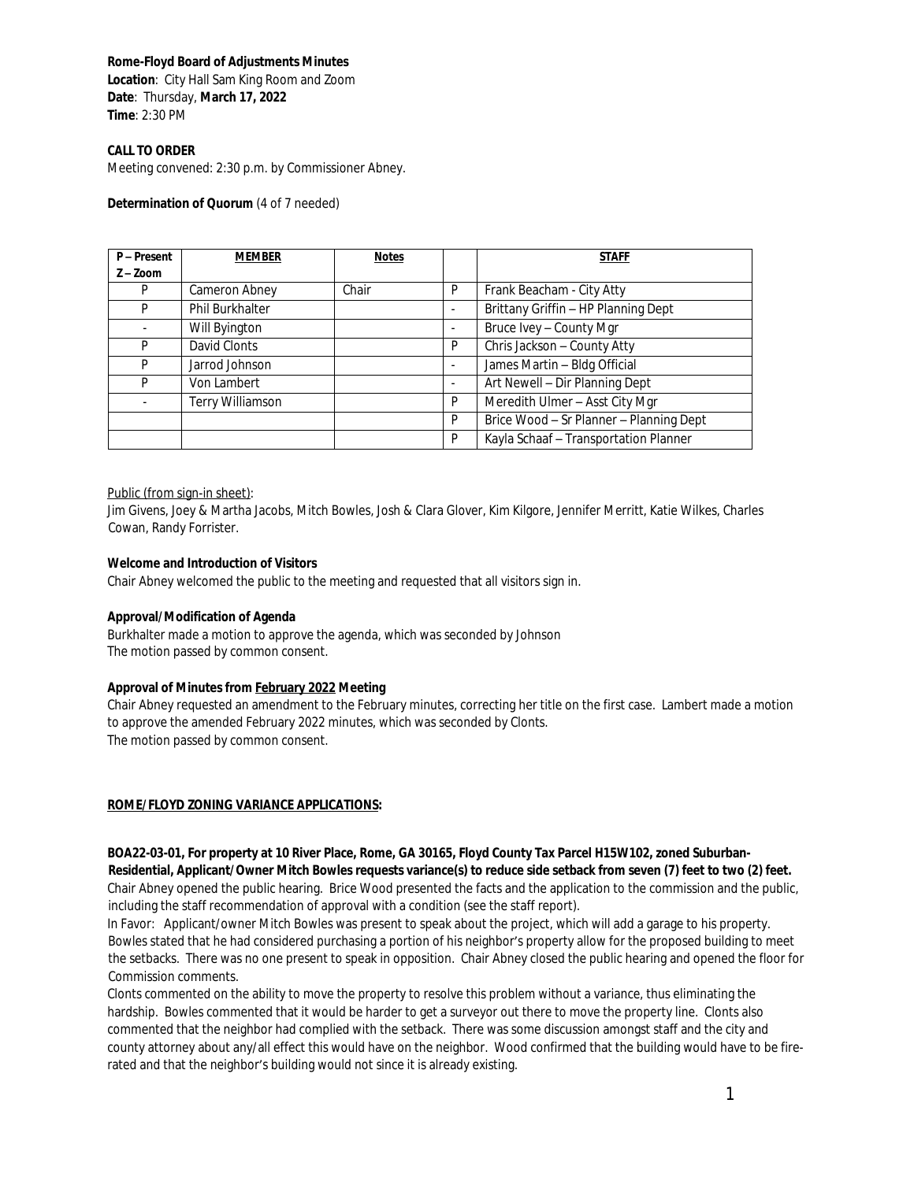### **Rome-Floyd Board of Adjustments Minutes**

**Location**: City Hall Sam King Room and Zoom **Date**: Thursday, **March 17, 2022 Time**: 2:30 PM

#### **CALL TO ORDER**

Meeting convened: 2:30 p.m. by Commissioner Abney.

#### **Determination of Quorum** (4 of 7 needed)

| P-Present   | <b>MEMBER</b>    | <b>Notes</b> |   | <b>STAFF</b>                            |
|-------------|------------------|--------------|---|-----------------------------------------|
| $Z - Z$ oom |                  |              |   |                                         |
| P           | Cameron Abney    | Chair        | P | Frank Beacham - City Atty               |
| P           | Phil Burkhalter  |              | ۰ | Brittany Griffin - HP Planning Dept     |
|             | Will Byington    |              | ۰ | Bruce Ivey - County Mgr                 |
| P           | David Clonts     |              | P | Chris Jackson - County Atty             |
| P           | Jarrod Johnson   |              |   | James Martin - Bldg Official            |
| P           | Von Lambert      |              | ۰ | Art Newell - Dir Planning Dept          |
|             | Terry Williamson |              | P | Meredith Ulmer - Asst City Mgr          |
|             |                  |              | P | Brice Wood - Sr Planner - Planning Dept |
|             |                  |              | P | Kayla Schaaf - Transportation Planner   |

#### Public (from sign-in sheet):

Jim Givens, Joey & Martha Jacobs, Mitch Bowles, Josh & Clara Glover, Kim Kilgore, Jennifer Merritt, Katie Wilkes, Charles Cowan, Randy Forrister.

### **Welcome and Introduction of Visitors**

Chair Abney welcomed the public to the meeting and requested that all visitors sign in.

#### **Approval/Modification of Agenda**

Burkhalter made a motion to approve the agenda, which was seconded by Johnson The motion passed by common consent.

# **Approval of Minutes from February 2022 Meeting**

Chair Abney requested an amendment to the February minutes, correcting her title on the first case. Lambert made a motion to approve the amended February 2022 minutes, which was seconded by Clonts. The motion passed by common consent.

# **ROME/FLOYD ZONING VARIANCE APPLICATIONS:**

#### **BOA22-03-01, For property at 10 River Place, Rome, GA 30165, Floyd County Tax Parcel H15W102, zoned Suburban-Residential, Applicant/Owner Mitch Bowles requests variance(s) to reduce side setback from seven (7) feet to two (2) feet.**

Chair Abney opened the public hearing. Brice Wood presented the facts and the application to the commission and the public, including the staff recommendation of approval with a condition (see the staff report).

In Favor: Applicant/owner Mitch Bowles was present to speak about the project, which will add a garage to his property. Bowles stated that he had considered purchasing a portion of his neighbor's property allow for the proposed building to meet the setbacks. There was no one present to speak in opposition. Chair Abney closed the public hearing and opened the floor for Commission comments.

Clonts commented on the ability to move the property to resolve this problem without a variance, thus eliminating the hardship. Bowles commented that it would be harder to get a surveyor out there to move the property line. Clonts also commented that the neighbor had complied with the setback. There was some discussion amongst staff and the city and county attorney about any/all effect this would have on the neighbor. Wood confirmed that the building would have to be firerated and that the neighbor's building would not since it is already existing.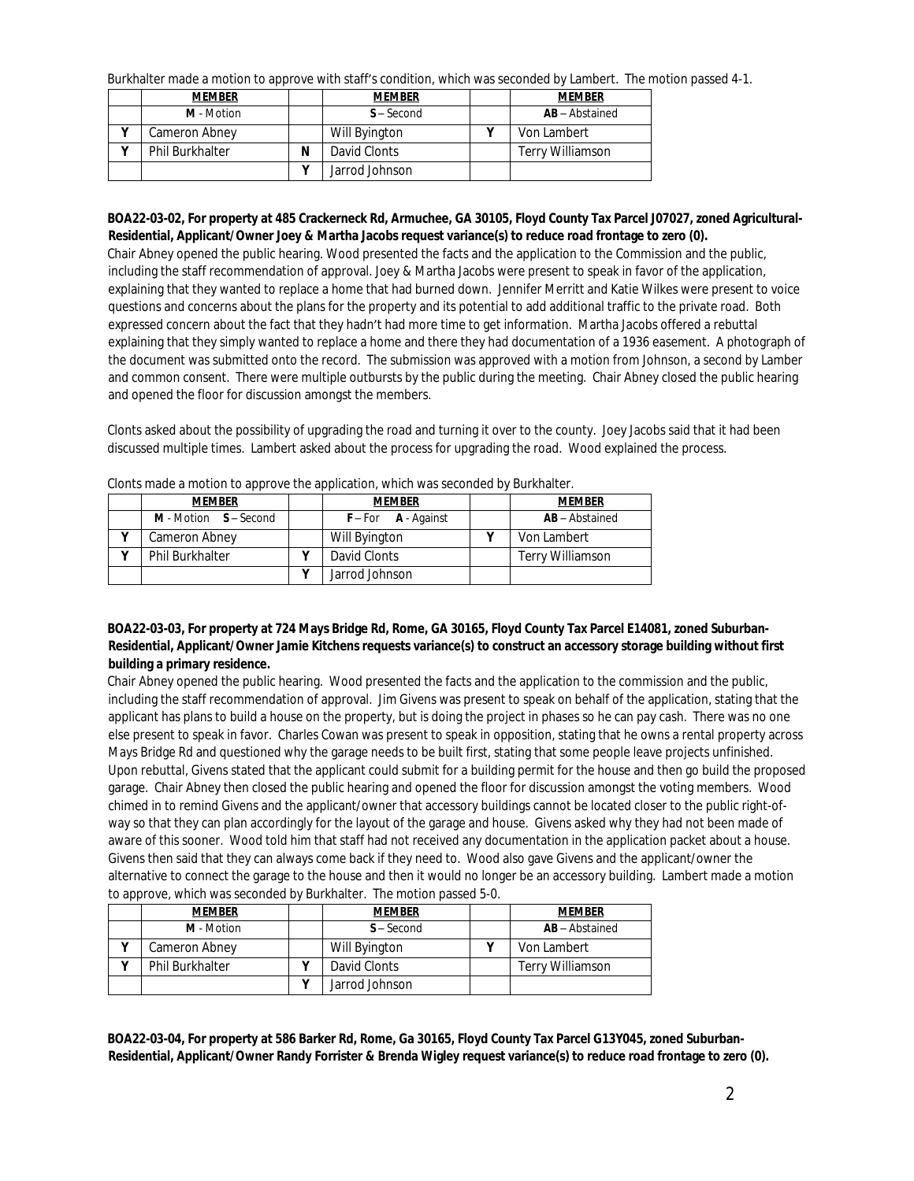Burkhalter made a motion to approve with staff's condition, which was seconded by Lambert. The motion passed 4-1.

| <b>MEMBER</b>          |   | <b>MEMBER</b>  | <b>MEMBER</b>           |
|------------------------|---|----------------|-------------------------|
| M - Motion             |   | $S -$ Second   | <b>AB</b> – Abstained   |
| Cameron Abney          |   | Will Byington  | Von Lambert             |
| <b>Phil Burkhalter</b> | N | David Clonts   | <b>Terry Williamson</b> |
|                        |   | Jarrod Johnson |                         |

# **BOA22-03-02, For property at 485 Crackerneck Rd, Armuchee, GA 30105, Floyd County Tax Parcel J07027, zoned Agricultural-Residential, Applicant/Owner Joey & Martha Jacobs request variance(s) to reduce road frontage to zero (0).**

Chair Abney opened the public hearing. Wood presented the facts and the application to the Commission and the public, including the staff recommendation of approval. Joey & Martha Jacobs were present to speak in favor of the application, explaining that they wanted to replace a home that had burned down. Jennifer Merritt and Katie Wilkes were present to voice questions and concerns about the plans for the property and its potential to add additional traffic to the private road. Both expressed concern about the fact that they hadn't had more time to get information. Martha Jacobs offered a rebuttal explaining that they simply wanted to replace a home and there they had documentation of a 1936 easement. A photograph of the document was submitted onto the record. The submission was approved with a motion from Johnson, a second by Lamber and common consent. There were multiple outbursts by the public during the meeting. Chair Abney closed the public hearing and opened the floor for discussion amongst the members.

Clonts asked about the possibility of upgrading the road and turning it over to the county. Joey Jacobs said that it had been discussed multiple times. Lambert asked about the process for upgrading the road. Wood explained the process.

| <b>MEMBER</b>          |  | <b>MEMBER</b>           | <b>MEMBER</b>           |
|------------------------|--|-------------------------|-------------------------|
| M - Motion S - Second  |  | $F$ – For $A$ - Against | <b>AB</b> - Abstained   |
| Cameron Abney          |  | Will Byington           | Von Lambert             |
| <b>Phil Burkhalter</b> |  | David Clonts            | <b>Terry Williamson</b> |
|                        |  | Jarrod Johnson          |                         |

Clonts made a motion to approve the application, which was seconded by Burkhalter.

# **BOA22-03-03, For property at 724 Mays Bridge Rd, Rome, GA 30165, Floyd County Tax Parcel E14081, zoned Suburban-Residential, Applicant/Owner Jamie Kitchens requests variance(s) to construct an accessory storage building without first building a primary residence.**

Chair Abney opened the public hearing. Wood presented the facts and the application to the commission and the public, including the staff recommendation of approval. Jim Givens was present to speak on behalf of the application, stating that the applicant has plans to build a house on the property, but is doing the project in phases so he can pay cash. There was no one else present to speak in favor. Charles Cowan was present to speak in opposition, stating that he owns a rental property across Mays Bridge Rd and questioned why the garage needs to be built first, stating that some people leave projects unfinished. Upon rebuttal, Givens stated that the applicant could submit for a building permit for the house and then go build the proposed garage. Chair Abney then closed the public hearing and opened the floor for discussion amongst the voting members. Wood chimed in to remind Givens and the applicant/owner that accessory buildings cannot be located closer to the public right-ofway so that they can plan accordingly for the layout of the garage and house. Givens asked why they had not been made of aware of this sooner. Wood told him that staff had not received any documentation in the application packet about a house. Givens then said that they can always come back if they need to. Wood also gave Givens and the applicant/owner the alternative to connect the garage to the house and then it would no longer be an accessory building. Lambert made a motion to approve, which was seconded by Burkhalter. The motion passed 5-0.

| <b>MEMBER</b>          | <b>MEMBER</b>  | <b>MEMBER</b>           |
|------------------------|----------------|-------------------------|
| M - Motion             | $S -$ Second   | <b>AB</b> – Abstained   |
| Cameron Abney          | Will Byington  | Von Lambert             |
| <b>Phil Burkhalter</b> | David Clonts   | <b>Terry Williamson</b> |
|                        | Jarrod Johnson |                         |

**BOA22-03-04, For property at 586 Barker Rd, Rome, Ga 30165, Floyd County Tax Parcel G13Y045, zoned Suburban-Residential, Applicant/Owner Randy Forrister & Brenda Wigley request variance(s) to reduce road frontage to zero (0).**